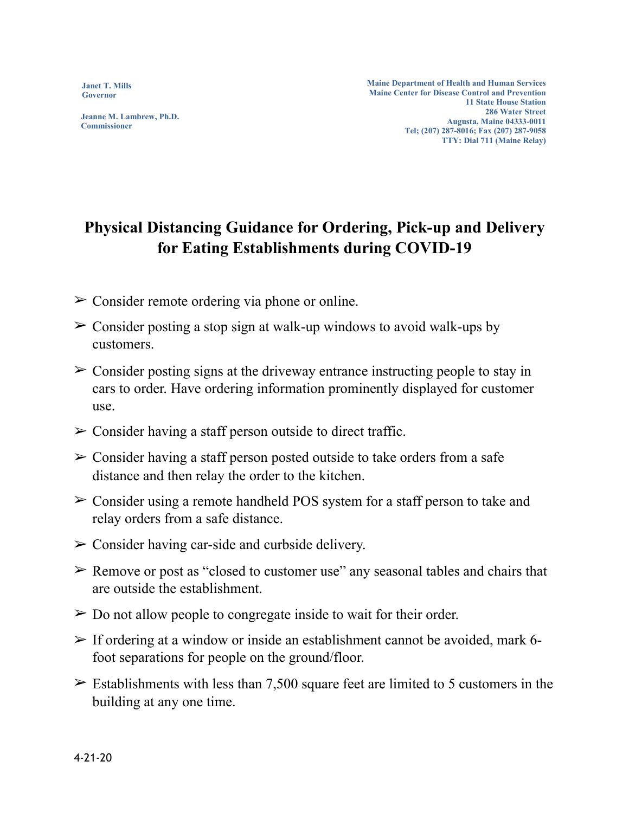**Janet T. Mills Governor**

**Jeanne M. Lambrew, Ph.D. Commissioner**

**Maine Department of Health and Human Services Maine Center for Disease Control and Prevention 11 State House Station 286 Water Street Augusta, Maine 04333-0011 Tel; (207) 287-8016; Fax (207) 287-9058 TTY: Dial 711 (Maine Relay)**

## **Physical Distancing Guidance for Ordering, Pick-up and Delivery for Eating Establishments during COVID-19**

- $\geq$  Consider remote ordering via phone or online.
- $\geq$  Consider posting a stop sign at walk-up windows to avoid walk-ups by customers.
- $\geq$  Consider posting signs at the driveway entrance instructing people to stay in cars to order. Have ordering information prominently displayed for customer use.
- $\triangleright$  Consider having a staff person outside to direct traffic.
- $\geq$  Consider having a staff person posted outside to take orders from a safe distance and then relay the order to the kitchen.
- $\geq$  Consider using a remote handheld POS system for a staff person to take and relay orders from a safe distance.
- $\geq$  Consider having car-side and curbside delivery.
- $\triangleright$  Remove or post as "closed to customer use" any seasonal tables and chairs that are outside the establishment.
- $\geq$  Do not allow people to congregate inside to wait for their order.
- $\triangleright$  If ordering at a window or inside an establishment cannot be avoided, mark 6foot separations for people on the ground/floor.
- $\geq$  Establishments with less than 7,500 square feet are limited to 5 customers in the building at any one time.